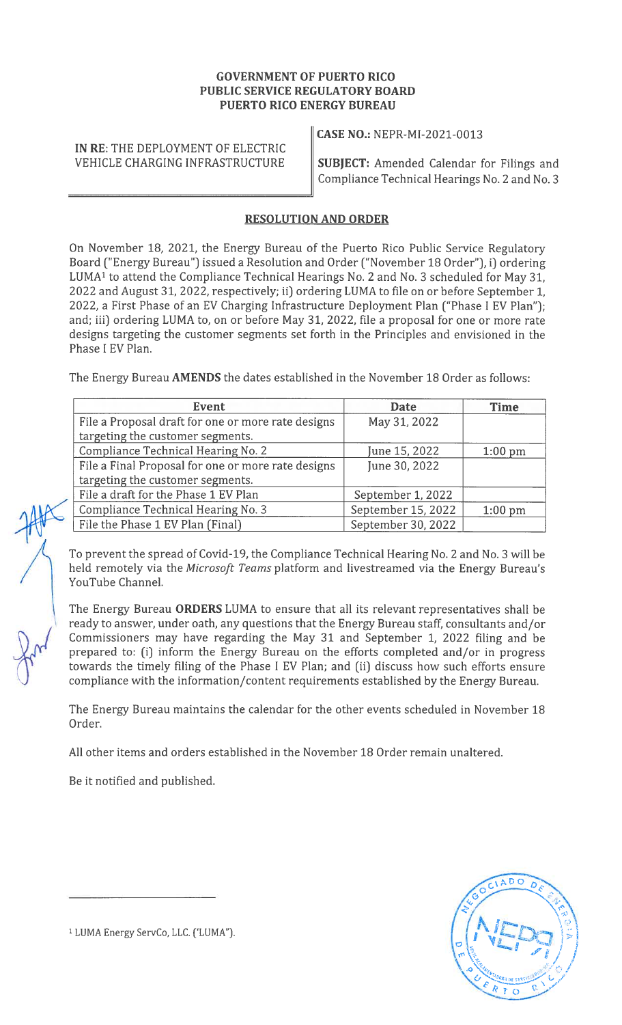## GOVERNMENT OF PUERTO RICO PUBLIC SERVICE REGULATORY BOARD PUERTO RICO ENERGY BUREAU

IN RE: THE DEPLOYMENT OF ELECTRIC

CASE NO.: NEPR-MI-2021-0013

VEHICLE CHARGING INFRASTRUCTURE  $\|\textbf{SUBJECT:}$  Amended Calendar for Filings and Compliance Technical Hearings No. 2 and No. 3

## RESOLUTION AND ORDER

On November 18, 2021, the Energy Bureau of the Puerto Rico Public Service Regulatory Board ('Energy Bureau") issued a Resolution and Order ("November 18 Order"), i) ordering LUMA' to attend the Compliance Technical Hearings No. <sup>2</sup> and No. <sup>3</sup> scheduled for May 31, 2022 and August 31, 2022, respectively; ii) ordering LUMA to file on or before September 1, 2022, a First Phase of an EV Charging Infrastructure Deployment Plan ("Phase I EV Plan"); and; iii) ordering LUMA to, on or before May 31, 2022, file a proposal for one or more rate designs targeting the customer segments set forth in the Principles and envisioned in the Phase <sup>I</sup> EV Plan.

The Energy Bureau AMENDS the dates established in the November 18 Order as follows:

| <b>Event</b>                                       | <b>Date</b>        | <b>Time</b> |
|----------------------------------------------------|--------------------|-------------|
| File a Proposal draft for one or more rate designs | May 31, 2022       |             |
| targeting the customer segments.                   |                    |             |
| Compliance Technical Hearing No. 2                 | June 15, 2022      | $1:00$ pm   |
| File a Final Proposal for one or more rate designs | June 30, 2022      |             |
| targeting the customer segments.                   |                    |             |
| File a draft for the Phase 1 EV Plan               | September 1, 2022  |             |
| Compliance Technical Hearing No. 3                 | September 15, 2022 | $1:00$ pm   |
| File the Phase 1 EV Plan (Final)                   | September 30, 2022 |             |

To prevent the spread of Covid-19, the Compliance Technical Hearing No. <sup>2</sup> and No. <sup>3</sup> will be held remotely via the Microsoft Teams platform and livestreamed via the Energy Bureau's YouTube Channel.

The Energy Bureau ORDERS LUMA to ensure that all its relevant representatives shall be ready to answer, under oath, any questions that the Energy Bureau staff, consultants and/or Commissioners may have regarding the May 31 and September 1, 2022 filing and be prepared to: (i) inform the Energy Bureau on the efforts completed and/or in progress towards the timely filing of the Phase <sup>I</sup> EV Plan; and (ii) discuss how such efforts ensure compliance with the information/content requirements established by the Energy Bureau.

The Energy Bureau maintains the calendar for the other events scheduled in November 18 Order.

All other items and orders established in the November 18 Order remain unaltered.

Be it notified and published.



<sup>&</sup>lt;sup>1</sup> LUMA Energy ServCo, LLC. ('LUMA").